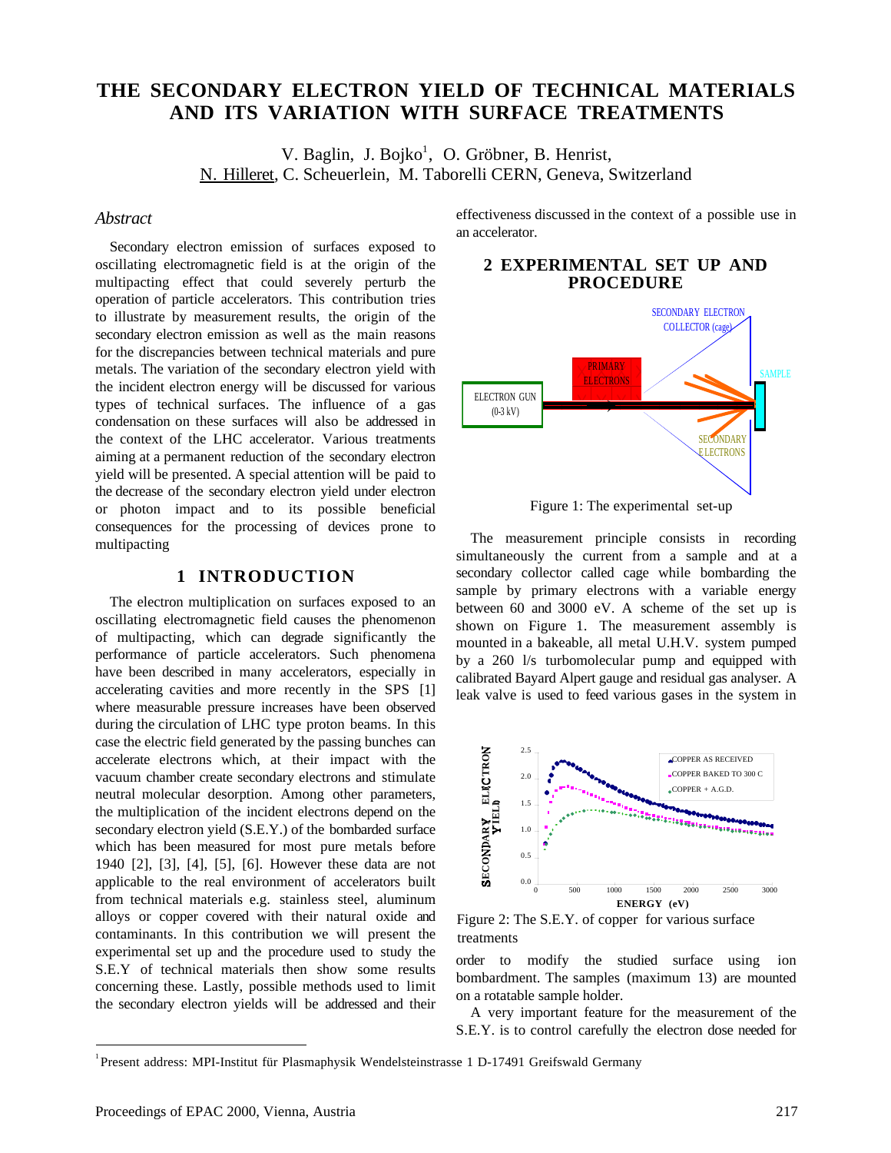# **THE SECONDARY ELECTRON YIELD OF TECHNICAL MATERIALS AND ITS VARIATION WITH SURFACE TREATMENTS**

V. Baglin, J. Bojko<sup>1</sup>, O. Gröbner, B. Henrist, N. Hilleret, C. Scheuerlein, M. Taborelli CERN, Geneva, Switzerland

#### *Abstract*

Secondary electron emission of surfaces exposed to oscillating electromagnetic field is at the origin of the multipacting effect that could severely perturb the operation of particle accelerators. This contribution tries to illustrate by measurement results, the origin of the secondary electron emission as well as the main reasons for the discrepancies between technical materials and pure metals. The variation of the secondary electron yield with the incident electron energy will be discussed for various types of technical surfaces. The influence of a gas condensation on these surfaces will also be addressed in the context of the LHC accelerator. Various treatments aiming at a permanent reduction of the secondary electron yield will be presented. A special attention will be paid to the decrease of the secondary electron yield under electron or photon impact and to its possible beneficial consequences for the processing of devices prone to multipacting

#### **1 INTRODUCTION**

The electron multiplication on surfaces exposed to an oscillating electromagnetic field causes the phenomenon of multipacting, which can degrade significantly the performance of particle accelerators. Such phenomena have been described in many accelerators, especially in accelerating cavities and more recently in the SPS [1] where measurable pressure increases have been observed during the circulation of LHC type proton beams. In this case the electric field generated by the passing bunches can accelerate electrons which, at their impact with the vacuum chamber create secondary electrons and stimulate neutral molecular desorption. Among other parameters, the multiplication of the incident electrons depend on the secondary electron yield (S.E.Y.) of the bombarded surface which has been measured for most pure metals before 1940 [2], [3], [4], [5], [6]. However these data are not applicable to the real environment of accelerators built from technical materials e.g. stainless steel, aluminum alloys or copper covered with their natural oxide and contaminants. In this contribution we will present the experimental set up and the procedure used to study the S.E.Y of technical materials then show some results concerning these. Lastly, possible methods used to limit the secondary electron yields will be addressed and their

effectiveness discussed in the context of a possible use in an accelerator.

# **2 EXPERIMENTAL SET UP AND PROCEDURE**



Figure 1: The experimental set-up

The measurement principle consists in recording simultaneously the current from a sample and at a secondary collector called cage while bombarding the sample by primary electrons with a variable energy between 60 and 3000 eV. A scheme of the set up is shown on Figure 1. The measurement assembly is mounted in a bakeable, all metal U.H.V. system pumped by a 260 l/s turbomolecular pump and equipped with calibrated Bayard Alpert gauge and residual gas analyser. A leak valve is used to feed various gases in the system in



Figure 2: The S.E.Y. of copper for various surface treatments

order to modify the studied surface using ion bombardment. The samples (maximum 13) are mounted on a rotatable sample holder.

A very important feature for the measurement of the S.E.Y. is to control carefully the electron dose needed for

<sup>&</sup>lt;sup>1</sup><br>Present address: MPI-Institut für Plasmaphysik Wendelsteinstrasse 1 D-17491 Greifswald Germany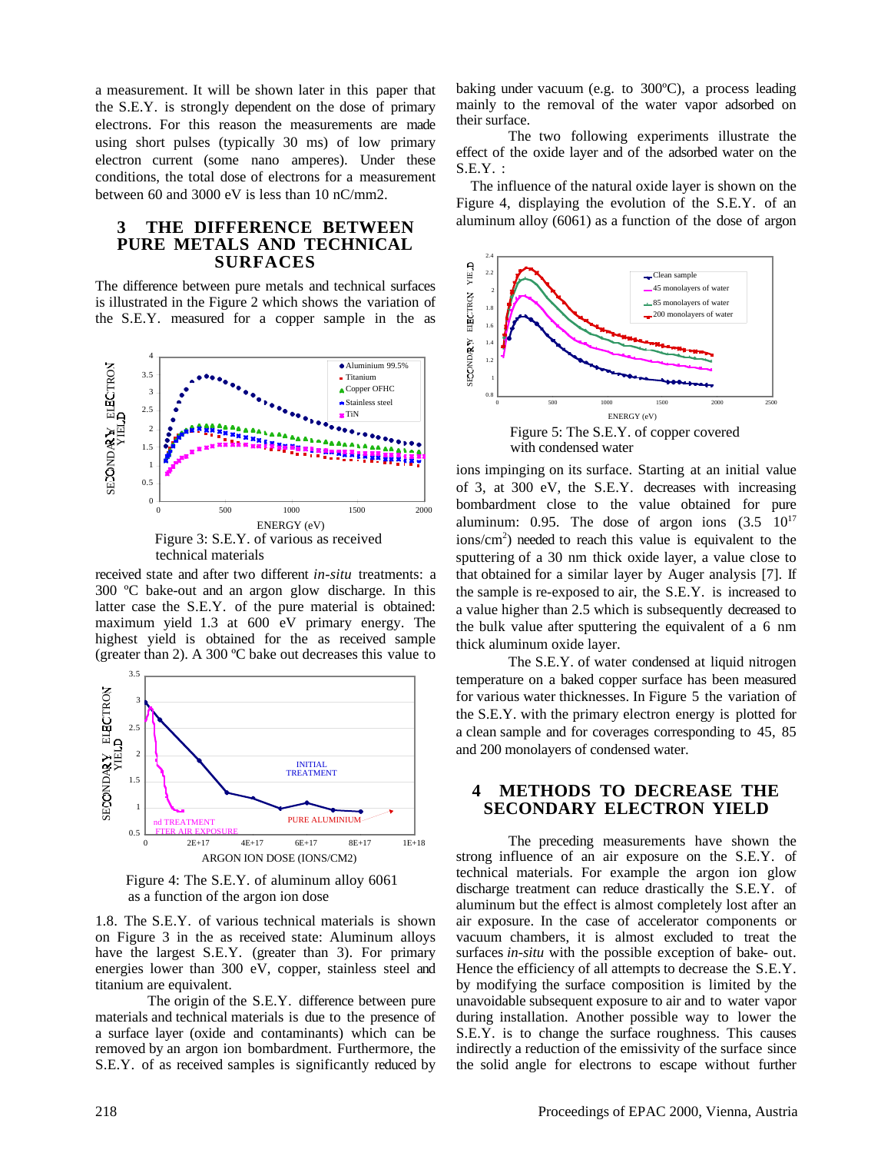a measurement. It will be shown later in this paper that the S.E.Y. is strongly dependent on the dose of primary electrons. For this reason the measurements are made using short pulses (typically 30 ms) of low primary electron current (some nano amperes). Under these conditions, the total dose of electrons for a measurement between 60 and 3000 eV is less than 10 nC/mm2.

## **3 THE DIFFERENCE BETWEEN PURE METALS AND TECHNICAL SURFACES**

The difference between pure metals and technical surfaces is illustrated in the Figure 2 which shows the variation of the S.E.Y. measured for a copper sample in the as



received state and after two different *in-situ* treatments: a 300 ºC bake-out and an argon glow discharge. In this latter case the S.E.Y. of the pure material is obtained: maximum yield 1.3 at 600 eV primary energy. The highest yield is obtained for the as received sample (greater than 2). A 300 ºC bake out decreases this value to



Figure 4: The S.E.Y. of aluminum alloy 6061 as a function of the argon ion dose

1.8. The S.E.Y. of various technical materials is shown on Figure 3 in the as received state: Aluminum alloys have the largest S.E.Y. (greater than 3). For primary energies lower than 300 eV, copper, stainless steel and titanium are equivalent.

The origin of the S.E.Y. difference between pure materials and technical materials is due to the presence of a surface layer (oxide and contaminants) which can be removed by an argon ion bombardment. Furthermore, the S.E.Y. of as received samples is significantly reduced by

baking under vacuum (e.g. to 300ºC), a process leading mainly to the removal of the water vapor adsorbed on their surface.

The two following experiments illustrate the effect of the oxide layer and of the adsorbed water on the S.E.Y. :

The influence of the natural oxide layer is shown on the Figure 4, displaying the evolution of the S.E.Y. of an aluminum alloy (6061) as a function of the dose of argon



with condensed water

ions impinging on its surface. Starting at an initial value of 3, at 300 eV, the S.E.Y. decreases with increasing bombardment close to the value obtained for pure aluminum: 0.95. The dose of argon ions  $(3.5 \t10^{17})$ ions/cm2 ) needed to reach this value is equivalent to the sputtering of a 30 nm thick oxide layer, a value close to that obtained for a similar layer by Auger analysis [7]. If the sample is re-exposed to air, the S.E.Y. is increased to a value higher than 2.5 which is subsequently decreased to the bulk value after sputtering the equivalent of a 6 nm thick aluminum oxide layer.

The S.E.Y. of water condensed at liquid nitrogen temperature on a baked copper surface has been measured for various water thicknesses. In Figure 5 the variation of the S.E.Y. with the primary electron energy is plotted for a clean sample and for coverages corresponding to 45, 85 and 200 monolayers of condensed water.

## **4 METHODS TO DECREASE THE SECONDARY ELECTRON YIELD**

The preceding measurements have shown the strong influence of an air exposure on the S.E.Y. of technical materials. For example the argon ion glow discharge treatment can reduce drastically the S.E.Y. of aluminum but the effect is almost completely lost after an air exposure. In the case of accelerator components or vacuum chambers, it is almost excluded to treat the surfaces *in-situ* with the possible exception of bake- out. Hence the efficiency of all attempts to decrease the S.E.Y. by modifying the surface composition is limited by the unavoidable subsequent exposure to air and to water vapor during installation. Another possible way to lower the S.E.Y. is to change the surface roughness. This causes indirectly a reduction of the emissivity of the surface since the solid angle for electrons to escape without further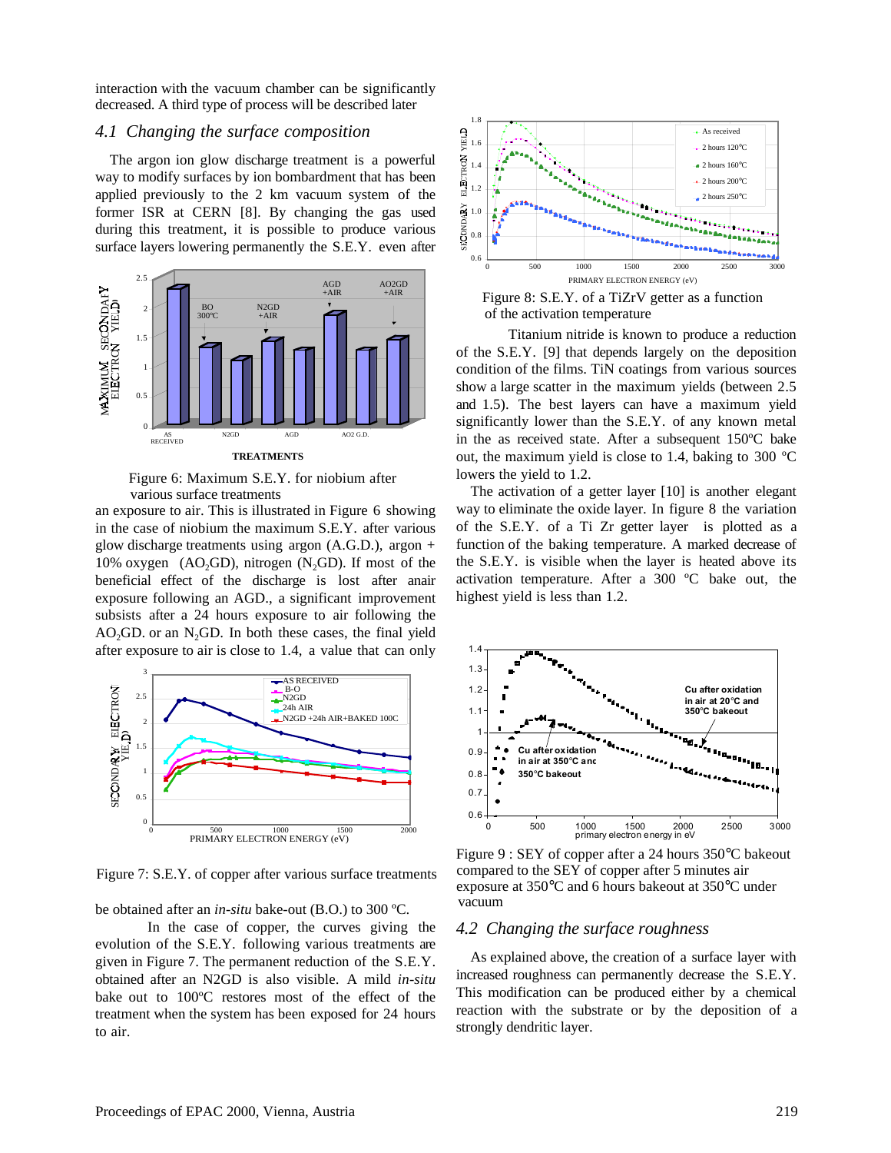interaction with the vacuum chamber can be significantly decreased. A third type of process will be described later

## *4.1 Changing the surface composition*

The argon ion glow discharge treatment is a powerful way to modify surfaces by ion bombardment that has been applied previously to the 2 km vacuum system of the former ISR at CERN [8]. By changing the gas used during this treatment, it is possible to produce various surface layers lowering permanently the S.E.Y. even after



Figure 6: Maximum S.E.Y. for niobium after various surface treatments

an exposure to air. This is illustrated in Figure 6 showing in the case of niobium the maximum S.E.Y. after various glow discharge treatments using argon  $(A.G.D.)$ , argon + 10% oxygen (AO<sub>2</sub>GD), nitrogen (N<sub>2</sub>GD). If most of the beneficial effect of the discharge is lost after anair exposure following an AGD., a significant improvement subsists after a 24 hours exposure to air following the  $AO<sub>2</sub>GD$ . or an N<sub>2</sub>GD. In both these cases, the final yield after exposure to air is close to 1.4, a value that can only



Figure 7: S.E.Y. of copper after various surface treatments

be obtained after an *in-situ* bake-out (B.O.) to 300 ºC.

In the case of copper, the curves giving the evolution of the S.E.Y. following various treatments are given in Figure 7. The permanent reduction of the S.E.Y. obtained after an N2GD is also visible. A mild *in-situ* bake out to 100ºC restores most of the effect of the treatment when the system has been exposed for 24 hours to air.



Figure 8: S.E.Y. of a TiZrV getter as a function of the activation temperature

Titanium nitride is known to produce a reduction of the S.E.Y. [9] that depends largely on the deposition condition of the films. TiN coatings from various sources show a large scatter in the maximum yields (between 2.5 and 1.5). The best layers can have a maximum yield significantly lower than the S.E.Y. of any known metal in the as received state. After a subsequent 150ºC bake out, the maximum yield is close to 1.4, baking to 300 ºC lowers the yield to 1.2.

The activation of a getter layer [10] is another elegant way to eliminate the oxide layer. In figure 8 the variation of the S.E.Y. of a Ti Zr getter layer is plotted as a function of the baking temperature. A marked decrease of the S.E.Y. is visible when the layer is heated above its activation temperature. After a 300 ºC bake out, the highest yield is less than 1.2.



Figure 9 : SEY of copper after a 24 hours 350°C bakeout compared to the SEY of copper after 5 minutes air exposure at 350°C and 6 hours bakeout at 350°C under vacuum

#### *4.2 Changing the surface roughness*

As explained above, the creation of a surface layer with increased roughness can permanently decrease the S.E.Y. This modification can be produced either by a chemical reaction with the substrate or by the deposition of a strongly dendritic layer.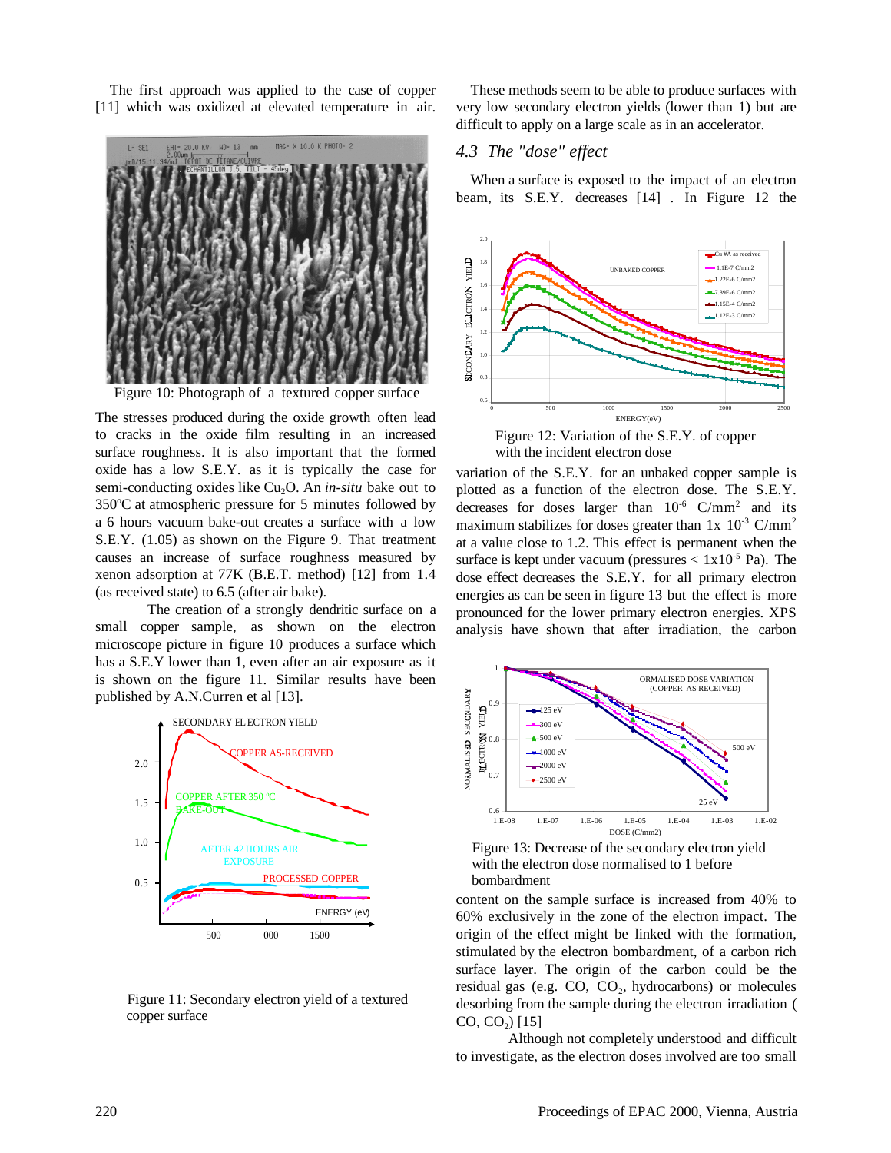The first approach was applied to the case of copper [11] which was oxidized at elevated temperature in air.



The stresses produced during the oxide growth often lead to cracks in the oxide film resulting in an increased surface roughness. It is also important that the formed oxide has a low S.E.Y. as it is typically the case for semi-conducting oxides like Cu<sub>2</sub>O. An *in-situ* bake out to 350ºC at atmospheric pressure for 5 minutes followed by a 6 hours vacuum bake-out creates a surface with a low S.E.Y. (1.05) as shown on the Figure 9. That treatment causes an increase of surface roughness measured by xenon adsorption at 77K (B.E.T. method) [12] from 1.4 (as received state) to 6.5 (after air bake).

The creation of a strongly dendritic surface on a small copper sample, as shown on the electron microscope picture in figure 10 produces a surface which has a S.E.Y lower than 1, even after an air exposure as it is shown on the figure 11. Similar results have been published by A.N.Curren et al [13].



Figure 11: Secondary electron yield of a textured copper surface

These methods seem to be able to produce surfaces with very low secondary electron yields (lower than 1) but are difficult to apply on a large scale as in an accelerator.

# *4.3 The "dose" effect*

When a surface is exposed to the impact of an electron beam, its S.E.Y. decreases [14] . In Figure 12 the



Figure 12: Variation of the S.E.Y. of copper with the incident electron dose

variation of the S.E.Y. for an unbaked copper sample is plotted as a function of the electron dose. The S.E.Y. decreases for doses larger than  $10^{-6}$  C/mm<sup>2</sup> and its maximum stabilizes for doses greater than  $1x \ 10^{-3} \ \text{C/mm}^2$ at a value close to 1.2. This effect is permanent when the surface is kept under vacuum (pressures  $< 1x10^{-5}$  Pa). The dose effect decreases the S.E.Y. for all primary electron energies as can be seen in figure 13 but the effect is more pronounced for the lower primary electron energies. XPS analysis have shown that after irradiation, the carbon



Figure 13: Decrease of the secondary electron yield with the electron dose normalised to 1 before bombardment

content on the sample surface is increased from 40% to 60% exclusively in the zone of the electron impact. The origin of the effect might be linked with the formation, stimulated by the electron bombardment, of a carbon rich surface layer. The origin of the carbon could be the residual gas (e.g.  $CO$ ,  $CO<sub>2</sub>$ , hydrocarbons) or molecules desorbing from the sample during the electron irradiation (  $CO, CO<sub>2</sub>$  [15]

Although not completely understood and difficult to investigate, as the electron doses involved are too small